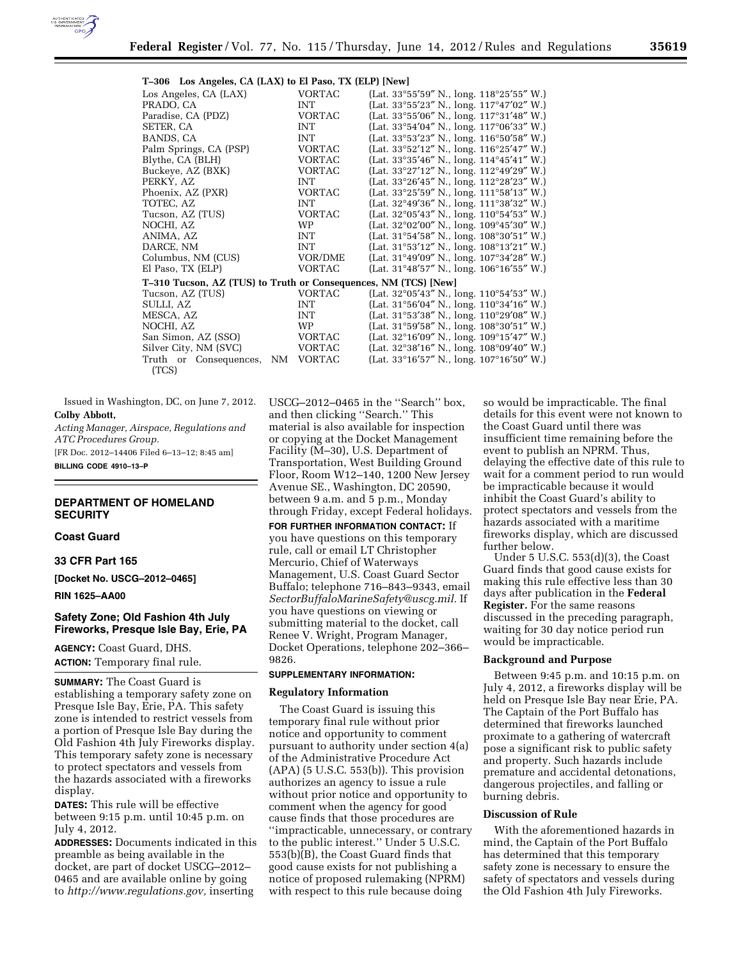

# **T–306 Los Angeles, CA (LAX) to El Paso, TX (ELP) [New]**

| $\frac{1}{2}$ 000 100 111, 000, 011 (2011) to 21 1 100, 111 (221) [1101] |               |                                                              |
|--------------------------------------------------------------------------|---------------|--------------------------------------------------------------|
| Los Angeles, CA (LAX)                                                    | <b>VORTAC</b> | (Lat. $33^{\circ}55'59''$ N., long. $118^{\circ}25'55''$ W.) |
| PRADO, CA                                                                | INT           | (Lat. $33^{\circ}55'23''$ N., long. $117^{\circ}47'02''$ W.) |
| Paradise, CA (PDZ)                                                       | <b>VORTAC</b> | (Lat. $33^{\circ}55'06''$ N., long. $117^{\circ}31'48''$ W.) |
| SETER, CA                                                                | <b>INT</b>    | (Lat. $33^{\circ}54'04''$ N., long. $117^{\circ}06'33''$ W.) |
| BANDS, CA                                                                | <b>INT</b>    | (Lat. 33°53'23" N., long. 116°50'58" W.)                     |
| Palm Springs, CA (PSP)                                                   | <b>VORTAC</b> | (Lat. $33^{\circ}52'12''$ N., long. $116^{\circ}25'47''$ W.) |
| Blythe, CA (BLH)                                                         | <b>VORTAC</b> | (Lat. $33^{\circ}35'46''$ N., long. $114^{\circ}45'41''$ W.) |
| Buckeye, AZ (BXK)                                                        | <b>VORTAC</b> | (Lat. $33^{\circ}27'12''$ N., long. $112^{\circ}49'29''$ W.) |
| PERKY, AZ                                                                | <b>INT</b>    | (Lat. $33^{\circ}26'45''$ N., long. $112^{\circ}28'23''$ W.) |
| Phoenix, AZ (PXR)                                                        | <b>VORTAC</b> | (Lat. 33°25'59" N., long. 111°58'13" W.)                     |
| TOTEC, AZ                                                                | <b>INT</b>    | (Lat. $32^{\circ}49'36''$ N., long. $111^{\circ}38'32''$ W.) |
| Tucson, AZ (TUS)                                                         | <b>VORTAC</b> | (Lat. $32^{\circ}05'43''$ N., long. $110^{\circ}54'53''$ W.) |
| NOCHI, AZ                                                                | <b>WP</b>     | (Lat. $32^{\circ}02'00''$ N., long. $109^{\circ}45'30''$ W.) |
| ANIMA, AZ                                                                | <b>INT</b>    | (Lat. $31^{\circ}54'58''$ N., long. $108^{\circ}30'51''$ W.) |
| DARCE, NM                                                                | <b>INT</b>    | (Lat. $31^{\circ}53'12''$ N., long. $108^{\circ}13'21''$ W.) |
| Columbus, NM (CUS)                                                       | VOR/DME       | (Lat. $31^{\circ}49'09''$ N., long. $107^{\circ}34'28''$ W.) |
| El Paso, TX (ELP)                                                        | <b>VORTAC</b> | (Lat. $31^{\circ}48'57''$ N., long. $106^{\circ}16'55''$ W.) |
| T-310 Tucson, AZ (TUS) to Truth or Consequences, NM (TCS) [New]          |               |                                                              |
| Tucson, AZ (TUS)                                                         | <b>VORTAC</b> | (Lat. $32^{\circ}05'43''$ N., long. $110^{\circ}54'53''$ W.) |
| SULLI. AZ                                                                | <b>INT</b>    | (Lat. $31^{\circ}56'04''$ N., long. $110^{\circ}34'16''$ W.) |
| MESCA, AZ                                                                | <b>INT</b>    | (Lat. 31°53'38" N., long. 110°29'08" W.)                     |
| NOCHI, AZ                                                                | <b>WP</b>     | (Lat. $31^{\circ}59'58''$ N., long. $108^{\circ}30'51''$ W.) |
| San Simon, AZ (SSO)                                                      | VORTAC        | (Lat. $32^{\circ}16'09''$ N., long. $109^{\circ}15'47''$ W.) |
| Silver City, NM (SVC)                                                    | VORTAC        | (Lat. $32^{\circ}38'16''$ N., long. $108^{\circ}09'40''$ W.) |
| Truth or Consequences, NM VORTAC                                         |               | (Lat. 33°16'57" N., long. 107°16'50" W.)                     |
| (TCS)                                                                    |               |                                                              |

Issued in Washington, DC, on June 7, 2012. **Colby Abbott,** 

*Acting Manager, Airspace, Regulations and ATC Procedures Group.* 

[FR Doc. 2012–14406 Filed 6–13–12; 8:45 am]

**BILLING CODE 4910–13–P** 

# **DEPARTMENT OF HOMELAND SECURITY**

## **Coast Guard**

## **33 CFR Part 165**

**[Docket No. USCG–2012–0465]** 

**RIN 1625–AA00** 

# **Safety Zone; Old Fashion 4th July Fireworks, Presque Isle Bay, Erie, PA**

**AGENCY:** Coast Guard, DHS. **ACTION:** Temporary final rule.

**SUMMARY:** The Coast Guard is establishing a temporary safety zone on Presque Isle Bay, Erie, PA. This safety zone is intended to restrict vessels from a portion of Presque Isle Bay during the Old Fashion 4th July Fireworks display. This temporary safety zone is necessary to protect spectators and vessels from the hazards associated with a fireworks display.

**DATES:** This rule will be effective between 9:15 p.m. until 10:45 p.m. on July 4, 2012.

**ADDRESSES:** Documents indicated in this preamble as being available in the docket, are part of docket USCG–2012– 0465 and are available online by going to *[http://www.regulations.gov,](http://www.regulations.gov)* inserting

USCG–2012–0465 in the ''Search'' box, and then clicking ''Search.'' This material is also available for inspection or copying at the Docket Management Facility (M–30), U.S. Department of Transportation, West Building Ground Floor, Room W12–140, 1200 New Jersey Avenue SE., Washington, DC 20590, between 9 a.m. and 5 p.m., Monday through Friday, except Federal holidays.

**FOR FURTHER INFORMATION CONTACT:** If you have questions on this temporary rule, call or email LT Christopher Mercurio, Chief of Waterways Management, U.S. Coast Guard Sector Buffalo; telephone 716–843–9343, email *[SectorBuffaloMarineSafety@uscg.mil.](mailto:SectorBuffaloMarineSafety@uscg.mil)* If you have questions on viewing or submitting material to the docket, call Renee V. Wright, Program Manager, Docket Operations, telephone 202–366– 9826.

# **SUPPLEMENTARY INFORMATION:**

## **Regulatory Information**

The Coast Guard is issuing this temporary final rule without prior notice and opportunity to comment pursuant to authority under section 4(a) of the Administrative Procedure Act  $(APA)$  (5 U.S.C. 553(b)). This provision authorizes an agency to issue a rule without prior notice and opportunity to comment when the agency for good cause finds that those procedures are ''impracticable, unnecessary, or contrary to the public interest.'' Under 5 U.S.C. 553(b)(B), the Coast Guard finds that good cause exists for not publishing a notice of proposed rulemaking (NPRM) with respect to this rule because doing

so would be impracticable. The final details for this event were not known to the Coast Guard until there was insufficient time remaining before the event to publish an NPRM. Thus, delaying the effective date of this rule to wait for a comment period to run would be impracticable because it would inhibit the Coast Guard's ability to protect spectators and vessels from the hazards associated with a maritime fireworks display, which are discussed further below.

Under 5 U.S.C. 553(d)(3), the Coast Guard finds that good cause exists for making this rule effective less than 30 days after publication in the **Federal Register.** For the same reasons discussed in the preceding paragraph, waiting for 30 day notice period run would be impracticable.

# **Background and Purpose**

Between 9:45 p.m. and 10:15 p.m. on July 4, 2012, a fireworks display will be held on Presque Isle Bay near Erie, PA. The Captain of the Port Buffalo has determined that fireworks launched proximate to a gathering of watercraft pose a significant risk to public safety and property. Such hazards include premature and accidental detonations, dangerous projectiles, and falling or burning debris.

# **Discussion of Rule**

With the aforementioned hazards in mind, the Captain of the Port Buffalo has determined that this temporary safety zone is necessary to ensure the safety of spectators and vessels during the Old Fashion 4th July Fireworks.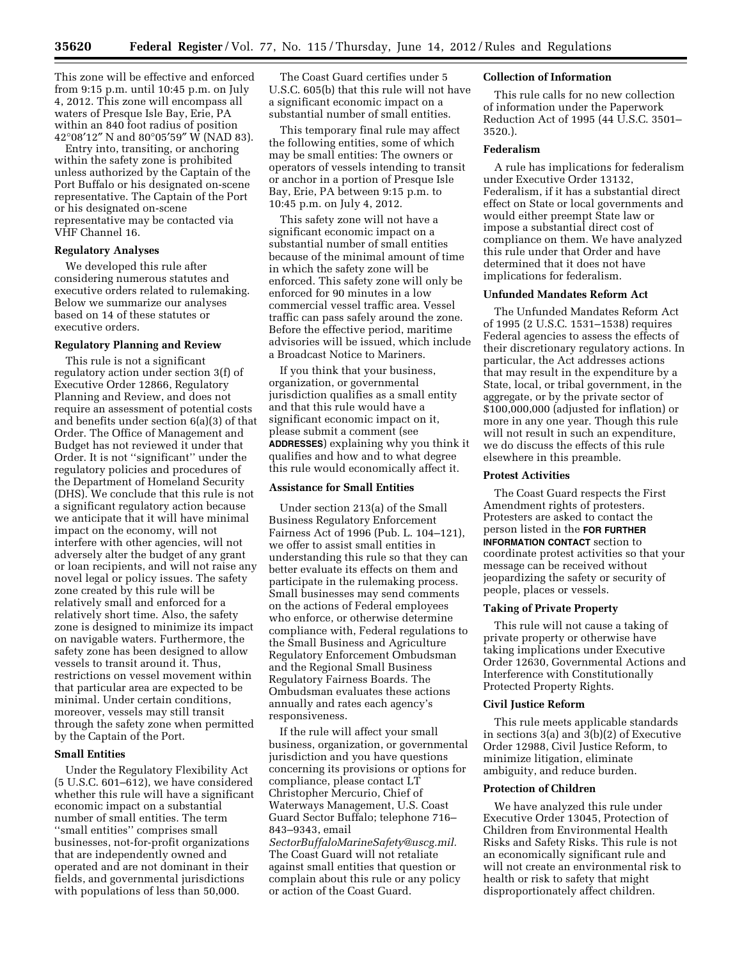This zone will be effective and enforced from 9:15 p.m. until 10:45 p.m. on July 4, 2012. This zone will encompass all waters of Presque Isle Bay, Erie, PA within an 840 foot radius of position 42°08′12″ N and 80°05′59″ W (NAD 83).

Entry into, transiting, or anchoring within the safety zone is prohibited unless authorized by the Captain of the Port Buffalo or his designated on-scene representative. The Captain of the Port or his designated on-scene representative may be contacted via VHF Channel 16.

# **Regulatory Analyses**

We developed this rule after considering numerous statutes and executive orders related to rulemaking. Below we summarize our analyses based on 14 of these statutes or executive orders.

# **Regulatory Planning and Review**

This rule is not a significant regulatory action under section 3(f) of Executive Order 12866, Regulatory Planning and Review, and does not require an assessment of potential costs and benefits under section 6(a)(3) of that Order. The Office of Management and Budget has not reviewed it under that Order. It is not ''significant'' under the regulatory policies and procedures of the Department of Homeland Security (DHS). We conclude that this rule is not a significant regulatory action because we anticipate that it will have minimal impact on the economy, will not interfere with other agencies, will not adversely alter the budget of any grant or loan recipients, and will not raise any novel legal or policy issues. The safety zone created by this rule will be relatively small and enforced for a relatively short time. Also, the safety zone is designed to minimize its impact on navigable waters. Furthermore, the safety zone has been designed to allow vessels to transit around it. Thus, restrictions on vessel movement within that particular area are expected to be minimal. Under certain conditions, moreover, vessels may still transit through the safety zone when permitted by the Captain of the Port.

## **Small Entities**

Under the Regulatory Flexibility Act (5 U.S.C. 601–612), we have considered whether this rule will have a significant economic impact on a substantial number of small entities. The term ''small entities'' comprises small businesses, not-for-profit organizations that are independently owned and operated and are not dominant in their fields, and governmental jurisdictions with populations of less than 50,000.

The Coast Guard certifies under 5 U.S.C. 605(b) that this rule will not have a significant economic impact on a substantial number of small entities.

This temporary final rule may affect the following entities, some of which may be small entities: The owners or operators of vessels intending to transit or anchor in a portion of Presque Isle Bay, Erie, PA between 9:15 p.m. to 10:45 p.m. on July 4, 2012.

This safety zone will not have a significant economic impact on a substantial number of small entities because of the minimal amount of time in which the safety zone will be enforced. This safety zone will only be enforced for 90 minutes in a low commercial vessel traffic area. Vessel traffic can pass safely around the zone. Before the effective period, maritime advisories will be issued, which include a Broadcast Notice to Mariners.

If you think that your business, organization, or governmental jurisdiction qualifies as a small entity and that this rule would have a significant economic impact on it, please submit a comment (see **ADDRESSES**) explaining why you think it qualifies and how and to what degree this rule would economically affect it.

## **Assistance for Small Entities**

Under section 213(a) of the Small Business Regulatory Enforcement Fairness Act of 1996 (Pub. L. 104–121), we offer to assist small entities in understanding this rule so that they can better evaluate its effects on them and participate in the rulemaking process. Small businesses may send comments on the actions of Federal employees who enforce, or otherwise determine compliance with, Federal regulations to the Small Business and Agriculture Regulatory Enforcement Ombudsman and the Regional Small Business Regulatory Fairness Boards. The Ombudsman evaluates these actions annually and rates each agency's responsiveness.

If the rule will affect your small business, organization, or governmental jurisdiction and you have questions concerning its provisions or options for compliance, please contact LT Christopher Mercurio, Chief of Waterways Management, U.S. Coast Guard Sector Buffalo; telephone 716– 843–9343, email *[SectorBuffaloMarineSafety@uscg.mil.](mailto:SectorBuffaloMarineSafety@uscg.mil)*  The Coast Guard will not retaliate

against small entities that question or complain about this rule or any policy or action of the Coast Guard.

## **Collection of Information**

This rule calls for no new collection of information under the Paperwork Reduction Act of 1995 (44 U.S.C. 3501– 3520.).

## **Federalism**

A rule has implications for federalism under Executive Order 13132, Federalism, if it has a substantial direct effect on State or local governments and would either preempt State law or impose a substantial direct cost of compliance on them. We have analyzed this rule under that Order and have determined that it does not have implications for federalism.

## **Unfunded Mandates Reform Act**

The Unfunded Mandates Reform Act of 1995 (2 U.S.C. 1531–1538) requires Federal agencies to assess the effects of their discretionary regulatory actions. In particular, the Act addresses actions that may result in the expenditure by a State, local, or tribal government, in the aggregate, or by the private sector of \$100,000,000 (adjusted for inflation) or more in any one year. Though this rule will not result in such an expenditure, we do discuss the effects of this rule elsewhere in this preamble.

# **Protest Activities**

The Coast Guard respects the First Amendment rights of protesters. Protesters are asked to contact the person listed in the **FOR FURTHER INFORMATION CONTACT** section to coordinate protest activities so that your message can be received without jeopardizing the safety or security of people, places or vessels.

#### **Taking of Private Property**

This rule will not cause a taking of private property or otherwise have taking implications under Executive Order 12630, Governmental Actions and Interference with Constitutionally Protected Property Rights.

## **Civil Justice Reform**

This rule meets applicable standards in sections 3(a) and 3(b)(2) of Executive Order 12988, Civil Justice Reform, to minimize litigation, eliminate ambiguity, and reduce burden.

## **Protection of Children**

We have analyzed this rule under Executive Order 13045, Protection of Children from Environmental Health Risks and Safety Risks. This rule is not an economically significant rule and will not create an environmental risk to health or risk to safety that might disproportionately affect children.